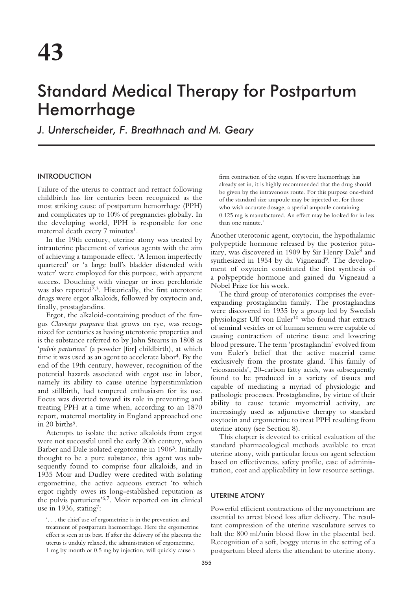# Standard Medical Therapy for Postpartum Hemorrhage

*J. Unterscheider, F. Breathnach and M. Geary*

## INTRODUCTION

Failure of the uterus to contract and retract following childbirth has for centuries been recognized as the most striking cause of postpartum hemorrhage (PPH) and complicates up to 10% of pregnancies globally. In the developing world, PPH is responsible for one maternal death every 7 minutes<sup>1</sup>.

In the 19th century, uterine atony was treated by intrauterine placement of various agents with the aim of achieving a tamponade effect. 'A lemon imperfectly quartered' or 'a large bull's bladder distended with water' were employed for this purpose, with apparent success. Douching with vinegar or iron perchloride was also reported<sup> $2,3$ </sup>. Historically, the first uterotonic drugs were ergot alkaloids, followed by oxytocin and, finally, prostaglandins.

Ergot, the alkaloid-containing product of the fungus *Claviceps purpurea* that grows on rye, was recognized for centuries as having uterotonic properties and is the substance referred to by John Stearns in 1808 as '*pulvis parturiens*' (a powder [for] childbirth), at which time it was used as an agent to accelerate labor<sup>4</sup>. By the end of the 19th century, however, recognition of the potential hazards associated with ergot use in labor, namely its ability to cause uterine hyperstimulation and stillbirth, had tempered enthusiasm for its use. Focus was diverted toward its role in preventing and treating PPH at a time when, according to an 1870 report, maternal mortality in England approached one in 20 births<sup>5</sup>.

Attempts to isolate the active alkaloids from ergot were not successful until the early 20th century, when Barber and Dale isolated ergotoxine in 1906<sup>3</sup>. Initially thought to be a pure substance, this agent was subsequently found to comprise four alkaloids, and in 1935 Moir and Dudley were credited with isolating ergometrine, the active aqueous extract 'to which ergot rightly owes its long-established reputation as the pulvis parturiens'6,7. Moir reported on its clinical use in 1936, stating<sup>7</sup>:

firm contraction of the organ. If severe haemorrhage has already set in, it is highly recommended that the drug should be given by the intravenous route. For this purpose one-third of the standard size ampoule may be injected or, for those who wish accurate dosage, a special ampoule containing 0.125 mg is manufactured. An effect may be looked for in less than one minute.'

Another uterotonic agent, oxytocin, the hypothalamic polypeptide hormone released by the posterior pituitary, was discovered in 1909 by Sir Henry Dale8 and synthesized in 1954 by du Vigneaud<sup>9</sup>. The development of oxytocin constituted the first synthesis of a polypeptide hormone and gained du Vigneaud a Nobel Prize for his work.

The third group of uterotonics comprises the everexpanding prostaglandin family. The prostaglandins were discovered in 1935 by a group led by Swedish physiologist Ulf von Euler<sup>10</sup> who found that extracts of seminal vesicles or of human semen were capable of causing contraction of uterine tissue and lowering blood pressure. The term 'prostaglandin' evolved from von Euler's belief that the active material came exclusively from the prostate gland. This family of 'eicosanoids', 20-carbon fatty acids, was subsequently found to be produced in a variety of tissues and capable of mediating a myriad of physiologic and pathologic processes. Prostaglandins, by virtue of their ability to cause tetanic myometrial activity, are increasingly used as adjunctive therapy to standard oxytocin and ergometrine to treat PPH resulting from uterine atony (see Section 8).

This chapter is devoted to critical evaluation of the standard pharmacological methods available to treat uterine atony, with particular focus on agent selection based on effectiveness, safety profile, ease of administration, cost and applicability in low resource settings.

## UTERINE ATONY

Powerful efficient contractions of the myometrium are essential to arrest blood loss after delivery. The resultant compression of the uterine vasculature serves to halt the 800 ml/min blood flow in the placental bed. Recognition of a soft, boggy uterus in the setting of a postpartum bleed alerts the attendant to uterine atony.

<sup>&#</sup>x27;. . . the chief use of ergometrine is in the prevention and treatment of postpartum haemorrhage. Here the ergometrine effect is seen at its best. If after the delivery of the placenta the uterus is unduly relaxed, the administration of ergometrine, 1 mg by mouth or 0.5 mg by injection, will quickly cause a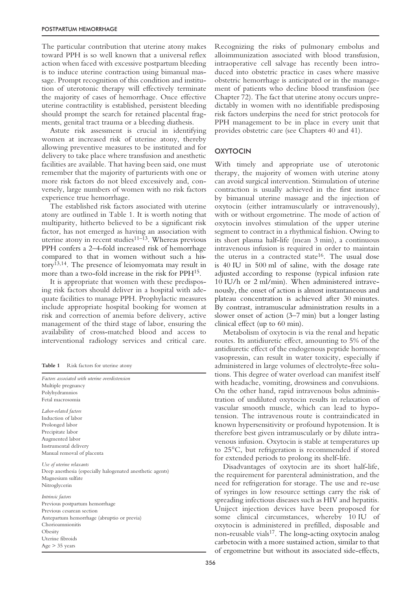The particular contribution that uterine atony makes toward PPH is so well known that a universal reflex action when faced with excessive postpartum bleeding is to induce uterine contraction using bimanual massage. Prompt recognition of this condition and institution of uterotonic therapy will effectively terminate the majority of cases of hemorrhage. Once effective uterine contractility is established, persistent bleeding should prompt the search for retained placental fragments, genital tract trauma or a bleeding diathesis.

Astute risk assessment is crucial in identifying women at increased risk of uterine atony, thereby allowing preventive measures to be instituted and for delivery to take place where transfusion and anesthetic facilities are available. That having been said, one must remember that the majority of parturients with one or more risk factors do not bleed excessively and, conversely, large numbers of women with no risk factors experience true hemorrhage.

The established risk factors associated with uterine atony are outlined in Table 1. It is worth noting that multiparity, hitherto believed to be a significant risk factor, has not emerged as having an association with uterine atony in recent studies $11-\overline{13}$ . Whereas previous PPH confers a 2–4-fold increased risk of hemorrhage compared to that in women without such a history13,14. The presence of leiomyomata may result in more than a two-fold increase in the risk for PPH15.

It is appropriate that women with these predisposing risk factors should deliver in a hospital with adequate facilities to manage PPH. Prophylactic measures include appropriate hospital booking for women at risk and correction of anemia before delivery, active management of the third stage of labor, ensuring the availability of cross-matched blood and access to interventional radiology services and critical care.

**Table 1** Risk factors for uterine atony

| Factors associated with uterine overdistension<br>Multiple pregnancy |
|----------------------------------------------------------------------|
| Polyhydramnios                                                       |
| Fetal macrosomia                                                     |
| Labor-related factors                                                |
| Induction of labor                                                   |
| Prolonged labor                                                      |
| Precipitate labor                                                    |
| Augmented labor                                                      |
| Instrumental delivery                                                |
| Manual removal of placenta                                           |
| Use of uterine relaxants                                             |
| Deep anesthesia (especially halogenated anesthetic agents)           |
| Magnesium sulfate                                                    |
| Nitroglycerin                                                        |
| Intrinsic factors                                                    |
| Previous postpartum hemorrhage                                       |
| Previous cesarean section                                            |
| Antepartum hemorrhage (abruptio or previa)                           |
| Chorioamnionitis                                                     |
| Obesity                                                              |
| Uterine fibroids                                                     |
| $Age > 35$ years                                                     |

Recognizing the risks of pulmonary embolus and alloimmunization associated with blood transfusion, intraoperative cell salvage has recently been introduced into obstetric practice in cases where massive obstetric hemorrhage is anticipated or in the management of patients who decline blood transfusion (see Chapter 72). The fact that uterine atony occurs unpredictably in women with no identifiable predisposing risk factors underpins the need for strict protocols for PPH management to be in place in every unit that provides obstetric care (see Chapters 40 and 41).

## **OXYTOCIN**

With timely and appropriate use of uterotonic therapy, the majority of women with uterine atony can avoid surgical intervention. Stimulation of uterine contraction is usually achieved in the first instance by bimanual uterine massage and the injection of oxytocin (either intramuscularly or intravenously), with or without ergometrine. The mode of action of oxytocin involves stimulation of the upper uterine segment to contract in a rhythmical fashion. Owing to its short plasma half-life (mean 3 min), a continuous intravenous infusion is required in order to maintain the uterus in a contracted state<sup>16</sup>. The usual dose is 40 IU in 500 ml of saline, with the dosage rate adjusted according to response (typical infusion rate 10 IU/h or 2 ml/min). When administered intravenously, the onset of action is almost instantaneous and plateau concentration is achieved after 30 minutes. By contrast, intramuscular administration results in a slower onset of action (3–7 min) but a longer lasting clinical effect (up to 60 min).

Metabolism of oxytocin is via the renal and hepatic routes. Its antidiuretic effect, amounting to 5% of the antidiuretic effect of the endogenous peptide hormone vasopressin, can result in water toxicity, especially if administered in large volumes of electrolyte-free solutions. This degree of water overload can manifest itself with headache, vomiting, drowsiness and convulsions. On the other hand, rapid intravenous bolus administration of undiluted oxytocin results in relaxation of vascular smooth muscle, which can lead to hypotension. The intravenous route is contraindicated in known hypersensitivity or profound hypotension. It is therefore best given intramuscularly or by dilute intravenous infusion. Oxytocin is stable at temperatures up to 25°C, but refrigeration is recommended if stored for extended periods to prolong its shelf-life.

Disadvantages of oxytocin are its short half-life, the requirement for parenteral administration, and the need for refrigeration for storage. The use and re-use of syringes in low resource settings carry the risk of spreading infectious diseases such as HIV and hepatitis. Uniject injection devices have been proposed for some clinical circumstances, whereby 10 IU of oxytocin is administered in prefilled, disposable and non-reusable vials<sup>17</sup>. The long-acting oxytocin analog carbetocin with a more sustained action, similar to that of ergometrine but without its associated side-effects,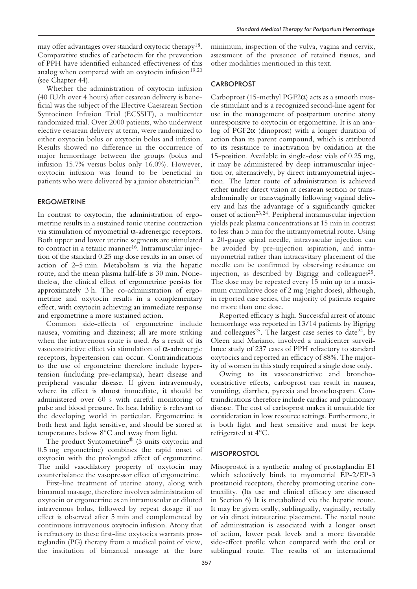may offer advantages over standard oxytocic therapy18. Comparative studies of carbetocin for the prevention of PPH have identified enhanced effectiveness of this analog when compared with an oxytocin infusion $19,20$ (see Chapter 44).

Whether the administration of oxytocin infusion (40 IU/h over 4 hours) after cesarean delivery is beneficial was the subject of the Elective Caesarean Section Syntocinon Infusion Trial (ECSSIT), a multicenter randomized trial. Over 2000 patients, who underwent elective cesarean delivery at term, were randomized to either oxytocin bolus or oxytocin bolus and infusion. Results showed no difference in the occurrence of major hemorrhage between the groups (bolus and infusion 15.7% versus bolus only 16.0%). However, oxytocin infusion was found to be beneficial in patients who were delivered by a junior obstetrician<sup>22</sup>.

## **ERGOMETRINE**

In contrast to oxytocin, the administration of ergometrine results in a sustained tonic uterine contraction via stimulation of myometrial α-adrenergic receptors. Both upper and lower uterine segments are stimulated to contract in a tetanic manner<sup>16</sup>. Intramuscular injection of the standard 0.25 mg dose results in an onset of action of 2–5 min. Metabolism is via the hepatic route, and the mean plasma half-life is 30 min. Nonetheless, the clinical effect of ergometrine persists for approximately 3 h. The co-administration of ergometrine and oxytocin results in a complementary effect, with oxytocin achieving an immediate response and ergometrine a more sustained action.

Common side-effects of ergometrine include nausea, vomiting and dizziness; all are more striking when the intravenous route is used. As a result of its vasoconstrictive effect via stimulation of α-adrenergic receptors, hypertension can occur. Contraindications to the use of ergometrine therefore include hypertension (including pre-eclampsia), heart disease and peripheral vascular disease. If given intravenously, where its effect is almost immediate, it should be administered over 60 s with careful monitoring of pulse and blood pressure. Its heat lability is relevant to the developing world in particular. Ergometrine is both heat and light sensitive, and should be stored at temperatures below 8°C and away from light.

The product Syntometrine® (5 units oxytocin and 0.5 mg ergometrine) combines the rapid onset of oxytocin with the prolonged effect of ergometrine. The mild vasodilatory property of oxytocin may counterbalance the vasopressor effect of ergometrine.

First-line treatment of uterine atony, along with bimanual massage, therefore involves administration of oxytocin or ergometrine as an intramuscular or diluted intravenous bolus, followed by repeat dosage if no effect is observed after 5 min and complemented by continuous intravenous oxytocin infusion. Atony that is refractory to these first-line oxytocics warrants prostaglandin (PG) therapy from a medical point of view, the institution of bimanual massage at the bare *Standard Medical Therapy for Postpartum Hemorrhage*

other modalities mentioned in this text.

## **CARBOPROST**

Carboprost (15-methyl  $PGF2\alpha$ ) acts as a smooth muscle stimulant and is a recognized second-line agent for use in the management of postpartum uterine atony unresponsive to oxytocin or ergometrine. It is an analog of PGF2 $α$  (dinoprost) with a longer duration of action than its parent compound, which is attributed to its resistance to inactivation by oxidation at the 15-position. Available in single-dose vials of 0.25 mg, it may be administered by deep intramuscular injection or, alternatively, by direct intramyometrial injection. The latter route of administration is achieved either under direct vision at cesarean section or transabdominally or transvaginally following vaginal delivery and has the advantage of a significantly quicker onset of action23,24. Peripheral intramuscular injection yields peak plasma concentrations at 15 min in contrast to less than 5 min for the intramyometrial route. Using a 20-gauge spinal needle, intravascular injection can be avoided by pre-injection aspiration, and intramyometrial rather than intracavitary placement of the needle can be confirmed by observing resistance on injection, as described by Bigrigg and colleagues<sup>25</sup>. The dose may be repeated every 15 min up to a maximum cumulative dose of 2 mg (eight doses), although, in reported case series, the majority of patients require no more than one dose.

Reported efficacy is high. Successful arrest of atonic hemorrhage was reported in 13/14 patients by Bigrigg and colleagues<sup>25</sup>. The largest case series to date<sup>24</sup>, by Oleen and Mariano, involved a multicenter surveillance study of 237 cases of PPH refractory to standard oxytocics and reported an efficacy of 88%. The majority of women in this study required a single dose only.

Owing to its vasoconstrictive and bronchoconstrictive effects, carboprost can result in nausea, vomiting, diarrhea, pyrexia and bronchospasm. Contraindications therefore include cardiac and pulmonary disease. The cost of carboprost makes it unsuitable for consideration in low resource settings. Furthermore, it is both light and heat sensitive and must be kept refrigerated at 4°C.

#### **MISOPROSTOL**

Misoprostol is a synthetic analog of prostaglandin E1 which selectively binds to myometrial EP-2/EP-3 prostanoid receptors, thereby promoting uterine contractility. (Its use and clinical efficacy are discussed in Section 6) It is metabolized via the hepatic route. It may be given orally, sublingually, vaginally, rectally or via direct intrauterine placement. The rectal route of administration is associated with a longer onset of action, lower peak levels and a more favorable side-effect profile when compared with the oral or sublingual route. The results of an international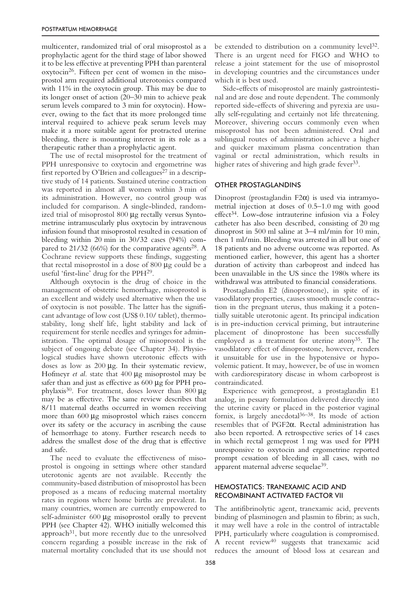multicenter, randomized trial of oral misoprostol as a prophylactic agent for the third stage of labor showed it to be less effective at preventing PPH than parenteral oxytocin26. Fifteen per cent of women in the misoprostol arm required additional uterotonics compared with 11% in the oxytocin group. This may be due to its longer onset of action (20–30 min to achieve peak serum levels compared to 3 min for oxytocin). However, owing to the fact that its more prolonged time interval required to achieve peak serum levels may make it a more suitable agent for protracted uterine bleeding, there is mounting interest in its role as a therapeutic rather than a prophylactic agent.

The use of rectal misoprostol for the treatment of PPH unresponsive to oxytocin and ergometrine was first reported by O'Brien and colleagues<sup>27</sup> in a descriptive study of 14 patients. Sustained uterine contraction was reported in almost all women within 3 min of its administration. However, no control group was included for comparison. A single-blinded, randomized trial of misoprostol 800 µg rectally versus Syntometrine intramuscularly plus oxytocin by intravenous infusion found that misoprostol resulted in cessation of bleeding within 20 min in 30/32 cases (94%) compared to  $21/32$  (66%) for the comparative agents<sup>28</sup>. A Cochrane review supports these findings, suggesting that rectal misoprostol in a dose of 800 µg could be a useful 'first-line' drug for the PPH29.

Although oxytocin is the drug of choice in the management of obstetric hemorrhage, misoprostol is an excellent and widely used alternative when the use of oxytocin is not possible. The latter has the significant advantage of low cost (US\$ 0.10/ tablet), thermostability, long shelf life, light stability and lack of requirement for sterile needles and syringes for administration. The optimal dosage of misoprostol is the subject of ongoing debate (see Chapter 34). Physiological studies have shown uterotonic effects with doses as low as 200 µg. In their systematic review, Hofmeyr *et al*. state that 400 µg misoprostol may be safer than and just as effective as 600 µg for PPH prophylaxis<sup>30</sup>. For treatment, doses lower than 800  $\mu$ g may be as effective. The same review describes that 8/11 maternal deaths occurred in women receiving more than 600 µg misoprostol which raises concern over its safety or the accuracy in ascribing the cause of hemorrhage to atony. Further research needs to address the smallest dose of the drug that is effective and safe.

The need to evaluate the effectiveness of misoprostol is ongoing in settings where other standard uterotonic agents are not available. Recently the community-based distribution of misoprostol has been proposed as a means of reducing maternal mortality rates in regions where home births are prevalent. In many countries, women are currently empowered to self-administer 600 µg misoprostol orally to prevent PPH (see Chapter 42). WHO initially welcomed this approach $31$ , but more recently due to the unresolved concern regarding a possible increase in the risk of maternal mortality concluded that its use should not

be extended to distribution on a community level<sup>32</sup>. There is an urgent need for FIGO and WHO to release a joint statement for the use of misoprostol in developing countries and the circumstances under which it is best used.

Side-effects of misoprostol are mainly gastrointestinal and are dose and route dependent. The commonly reported side-effects of shivering and pyrexia are usually self-regulating and certainly not life threatening. Moreover, shivering occurs commonly even when misoprostol has not been administered. Oral and sublingual routes of administration achieve a higher and quicker maximum plasma concentration than vaginal or rectal administration, which results in higher rates of shivering and high grade fever<sup>33</sup>.

### OTHER PROSTAGLANDINS

Dinoprost (prostaglandin F2 $\alpha$ ) is used via intramyometrial injection at doses of 0.5–1.0 mg with good effect<sup>34</sup>. Low-dose intrauterine infusion via a Foley catheter has also been described, consisting of 20 mg dinoprost in 500 ml saline at 3–4 ml/min for 10 min, then 1 ml/min. Bleeding was arrested in all but one of 18 patients and no adverse outcome was reported. As mentioned earlier, however, this agent has a shorter duration of activity than carboprost and indeed has been unavailable in the US since the 1980s where its withdrawal was attributed to financial considerations.

Prostaglandin E2 (dinoprostone), in spite of its vasodilatory properties, causes smooth muscle contraction in the pregnant uterus, thus making it a potentially suitable uterotonic agent. Its principal indication is in pre-induction cervical priming, but intrauterine placement of dinoprostone has been successfully employed as a treatment for uterine atony35. The vasodilatory effect of dinoprostone, however, renders it unsuitable for use in the hypotensive or hypovolemic patient. It may, however, be of use in women with cardiorespiratory disease in whom carboprost is contraindicated.

Experience with gemeprost, a prostaglandin E1 analog, in pessary formulation delivered directly into the uterine cavity or placed in the posterior vaginal fornix, is largely anecdotal $36-38$ . Its mode of action resembles that of PGF2α. Rectal administration has also been reported. A retrospective series of 14 cases in which rectal gemeprost 1 mg was used for PPH unresponsive to oxytocin and ergometrine reported prompt cessation of bleeding in all cases, with no apparent maternal adverse sequelae39.

## HEMOSTATICS: TRANEXAMIC ACID AND RECOMBINANT ACTIVATED FACTOR VII

The antifibrinolytic agent, tranexamic acid, prevents binding of plasminogen and plasmin to fibrin; as such, it may well have a role in the control of intractable PPH, particularly where coagulation is compromised. A recent review40 suggests that tranexamic acid reduces the amount of blood loss at cesarean and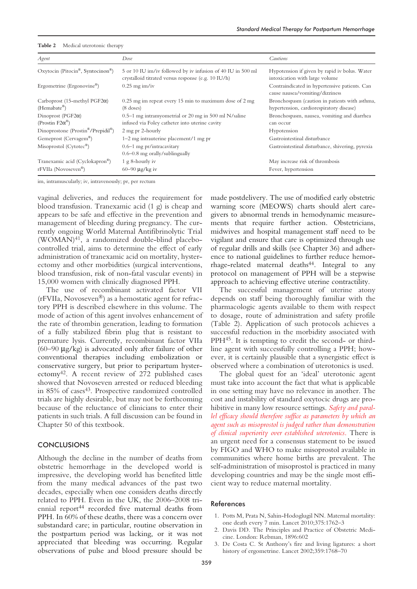| Agent                                                               | Dose                                                                                                               | <b>Cautions</b>                                                                            |
|---------------------------------------------------------------------|--------------------------------------------------------------------------------------------------------------------|--------------------------------------------------------------------------------------------|
| Oxytocin (Pitocin®, Syntocinon®)                                    | 5 or 10 IU im/iv followed by iv infusion of 40 IU in 500 ml<br>crystalloid titrated versus response (e.g. 10 IU/h) | Hypotension if given by rapid iv bolus. Water<br>intoxication with large volume            |
| Ergometrine (Ergonovine®)                                           | $0.25$ mg im/iv                                                                                                    | Contraindicated in hypertensive patients. Can<br>cause nausea/vomiting/dizziness           |
| Carboprost (15-methyl PGF2 $\alpha$ )<br>$(Hemabate^{\mathcal{B}})$ | $0.25$ mg im repeat every 15 min to maximum dose of 2 mg<br>$(8$ doses)                                            | Bronchospasm (caution in patients with asthma,<br>hypertension, cardiorespiratory disease) |
| Dinoprost (PGF2 $\alpha$ )<br>(Prostin $F2\alpha^{\circledast}$ )   | $0.5-1$ mg intramyometrial or 20 mg in 500 ml N/saline<br>infused via Foley catheter into uterine cavity           | Bronchospasm, nausea, vomiting and diarrhea<br>can occur                                   |
| Dinoprostone (Prostin®/Prepidil®)                                   | 2 mg pr 2-hourly                                                                                                   | Hypotension                                                                                |
| Gemeprost (Cervagem®)                                               | $1-2$ mg intrauterine placement/1 mg pr                                                                            | Gastrointestinal disturbance                                                               |
| Misoprostol ( $Cytotec^{\mathcal{B}}$ )                             | $0.6-1$ mg pr/intracavitary<br>$0.6 - 0.8$ mg orally/sublingually                                                  | Gastrointestinal disturbance, shivering, pyrexia                                           |
| Tranexamic acid (Cyclokapron®)                                      | $1$ g 8-hourly iv                                                                                                  | May increase risk of thrombosis                                                            |
| rFVIIa (Novoseven <sup>®</sup> )                                    | $60 - 90 \mu g/kg$ iv                                                                                              | Fever, hypertension                                                                        |

**Table 2** Medical uterotonic therapy

im, intramuscularly; iv, intravenously; pr, per rectum

vaginal deliveries, and reduces the requirement for blood transfusion. Tranexamic acid (1 g) is cheap and appears to be safe and effective in the prevention and management of bleeding during pregnancy. The currently ongoing World Maternal Antifibrinolytic Trial (WOMAN)41, a randomized double-blind placebocontrolled trial, aims to determine the effect of early administration of tranexamic acid on mortality, hysterectomy and other morbidities (surgical interventions, blood transfusion, risk of non-fatal vascular events) in 15,000 women with clinically diagnosed PPH.

The use of recombinant activated factor VII (rFVIIa, Novoseven®) as a hemostatic agent for refractory PPH is described elsewhere in this volume. The mode of action of this agent involves enhancement of the rate of thrombin generation, leading to formation of a fully stabilized fibrin plug that is resistant to premature lysis. Currently, recombinant factor VIIa  $(60-90 \text{ kg/kg})$  is advocated only after failure of other conventional therapies including embolization or conservative surgery, but prior to peripartum hysterectomy42. A recent review of 272 published cases showed that Novoseven arrested or reduced bleeding in 85% of cases<sup>43</sup>. Prospective randomized controlled trials are highly desirable, but may not be forthcoming because of the reluctance of clinicians to enter their patients in such trials. A full discussion can be found in Chapter 50 of this textbook.

#### CONCLUSIONS

Although the decline in the number of deaths from obstetric hemorrhage in the developed world is impressive, the developing world has benefited little from the many medical advances of the past two decades, especially when one considers deaths directly related to PPH. Even in the UK, the 2006–2008 triennial report<sup>44</sup> recorded five maternal deaths from PPH. In 60% of these deaths, there was a concern over substandard care; in particular, routine observation in the postpartum period was lacking, or it was not appreciated that bleeding was occurring. Regular observations of pulse and blood pressure should be

made postdelivery. The use of modified early obstetric warning score (MEOWS) charts should alert caregivers to abnormal trends in hemodynamic measurements that require further action. Obstetricians, midwives and hospital management staff need to be vigilant and ensure that care is optimized through use of regular drills and skills (see Chapter 36) and adherence to national guidelines to further reduce hemor $r$ hage-related maternal deaths<sup>44</sup>. Integral to any protocol on management of PPH will be a stepwise approach to achieving effective uterine contractility.

The successful management of uterine atony depends on staff being thoroughly familiar with the pharmacologic agents available to them with respect to dosage, route of administration and safety profile (Table 2). Application of such protocols achieves a successful reduction in the morbidity associated with PPH45. It is tempting to credit the second- or thirdline agent with successfully controlling a PPH; however, it is certainly plausible that a synergistic effect is observed where a combination of uterotonics is used.

The global quest for an 'ideal' uterotonic agent must take into account the fact that what is applicable in one setting may have no relevance in another. The cost and instability of standard oxytocic drugs are prohibitive in many low resource settings. *Safety and parallel efficacy should therefore suffice as parameters by which an agent such as misoprostol is judged rather than demonstration of clinical superiority over established uterotonics*. There is an urgent need for a consensus statement to be issued by FIGO and WHO to make misoprostol available in communities where home births are prevalent. The self-administration of misoprostol is practiced in many developing countries and may be the single most efficient way to reduce maternal mortality.

#### References

- 1. Potts M, Prata N, Sahin-Hodoglugil NN. Maternal mortality: one death every 7 min. Lancet 2010;375:1762–3
- 2. Davis DD. The Principles and Practice of Obstetric Medicine. London: Rebman, 1896:602
- 3. De Costa C. St Anthony's fire and living ligatures: a short history of ergometrine. Lancet 2002;359:1768–70